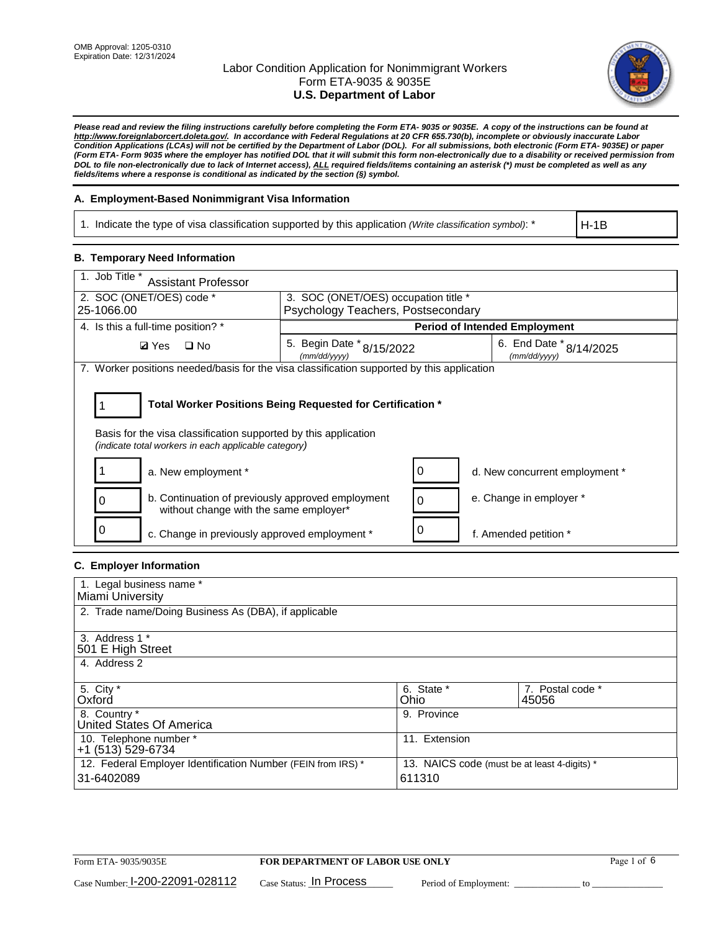

*Please read and review the filing instructions carefully before completing the Form ETA- 9035 or 9035E. A copy of the instructions can be found at [http://www.foreignlaborcert.doleta.gov/.](http://www.foreignlaborcert.doleta.gov/) In accordance with Federal Regulations at 20 CFR 655.730(b), incomplete or obviously inaccurate Labor Condition Applications (LCAs) will not be certified by the Department of Labor (DOL). For all submissions, both electronic (Form ETA- 9035E) or paper (Form ETA- Form 9035 where the employer has notified DOL that it will submit this form non-electronically due to a disability or received permission from DOL to file non-electronically due to lack of Internet access), ALL required fields/items containing an asterisk (\*) must be completed as well as any fields/items where a response is conditional as indicated by the section (§) symbol.* 

### **A. Employment-Based Nonimmigrant Visa Information**

1. Indicate the type of visa classification supported by this application *(Write classification symbol)*: \*

H-1B

#### **B. Temporary Need Information**

| 1. Job Title *<br><b>Assistant Professor</b>                                                                            |                                           |                                    |                                         |  |  |  |
|-------------------------------------------------------------------------------------------------------------------------|-------------------------------------------|------------------------------------|-----------------------------------------|--|--|--|
| 2. SOC (ONET/OES) code *<br>25-1066.00                                                                                  | 3. SOC (ONET/OES) occupation title *      |                                    |                                         |  |  |  |
|                                                                                                                         |                                           | Psychology Teachers, Postsecondary |                                         |  |  |  |
| 4. Is this a full-time position? *                                                                                      | <b>Period of Intended Employment</b>      |                                    |                                         |  |  |  |
| $\Box$ No<br><b>Ø</b> Yes                                                                                               | 5. Begin Date * 8/15/2022<br>(mm/dd/yyyy) |                                    | 6. End Date * 8/14/2025<br>(mm/dd/yyyy) |  |  |  |
| 7. Worker positions needed/basis for the visa classification supported by this application                              |                                           |                                    |                                         |  |  |  |
|                                                                                                                         |                                           |                                    |                                         |  |  |  |
| Total Worker Positions Being Requested for Certification *                                                              |                                           |                                    |                                         |  |  |  |
| Basis for the visa classification supported by this application<br>(indicate total workers in each applicable category) |                                           |                                    |                                         |  |  |  |
| a. New employment *                                                                                                     |                                           | 0                                  | d. New concurrent employment *          |  |  |  |
| b. Continuation of previously approved employment<br>without change with the same employer*                             |                                           | $\Omega$                           | e. Change in employer *                 |  |  |  |
| c. Change in previously approved employment *                                                                           |                                           | 0                                  | f. Amended petition *                   |  |  |  |

# **C. Employer Information**

| 1. Legal business name *                                     |                                              |                  |  |  |  |
|--------------------------------------------------------------|----------------------------------------------|------------------|--|--|--|
| Miami University                                             |                                              |                  |  |  |  |
| 2. Trade name/Doing Business As (DBA), if applicable         |                                              |                  |  |  |  |
|                                                              |                                              |                  |  |  |  |
| 3. Address 1 *                                               |                                              |                  |  |  |  |
| 501 E High Street                                            |                                              |                  |  |  |  |
| 4. Address 2                                                 |                                              |                  |  |  |  |
|                                                              |                                              |                  |  |  |  |
| 5. City *                                                    | 6. State *                                   | 7. Postal code * |  |  |  |
| Oxford                                                       | Ohio                                         | 45056            |  |  |  |
| 8. Country *                                                 | 9. Province                                  |                  |  |  |  |
| United States Of America                                     |                                              |                  |  |  |  |
| 10. Telephone number *                                       | 11. Extension                                |                  |  |  |  |
| +1 (513) 529-6734                                            |                                              |                  |  |  |  |
| 12. Federal Employer Identification Number (FEIN from IRS) * | 13. NAICS code (must be at least 4-digits) * |                  |  |  |  |
| 31-6402089                                                   | 611310                                       |                  |  |  |  |
|                                                              |                                              |                  |  |  |  |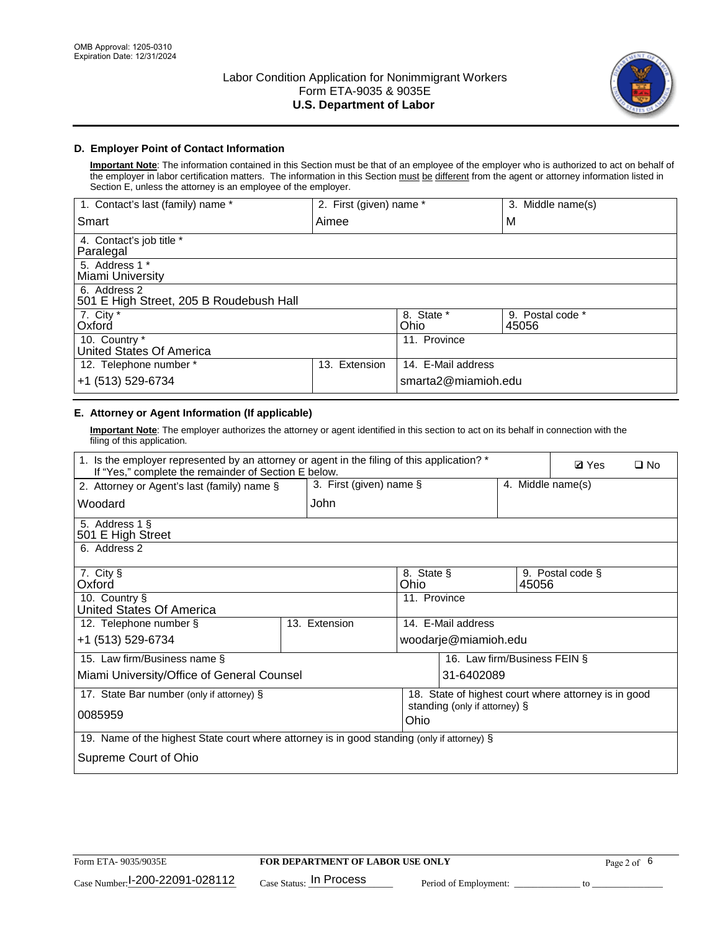

# **D. Employer Point of Contact Information**

**Important Note**: The information contained in this Section must be that of an employee of the employer who is authorized to act on behalf of the employer in labor certification matters. The information in this Section must be different from the agent or attorney information listed in Section E, unless the attorney is an employee of the employer.

| 1. Contact's last (family) name *                       | 2. First (given) name * |                     | 3. Middle name(s)         |
|---------------------------------------------------------|-------------------------|---------------------|---------------------------|
| Smart                                                   | Aimee                   |                     | M                         |
| 4. Contact's job title *<br>Paralegal                   |                         |                     |                           |
| 5. Address 1 *<br>Miami University                      |                         |                     |                           |
| 6. Address 2<br>501 E High Street, 205 B Roudebush Hall |                         |                     |                           |
| 7. City *<br>Oxford                                     |                         | 8. State *<br>Ohio  | 9. Postal code *<br>45056 |
| 10. Country *<br>United States Of America               |                         | 11. Province        |                           |
| 12. Telephone number *                                  | Extension<br>13.        | 14. E-Mail address  |                           |
| +1 (513) 529-6734                                       |                         | smarta2@miamioh.edu |                           |

# **E. Attorney or Agent Information (If applicable)**

**Important Note**: The employer authorizes the attorney or agent identified in this section to act on its behalf in connection with the filing of this application.

| 1. Is the employer represented by an attorney or agent in the filing of this application? *<br>If "Yes," complete the remainder of Section E below. |               |                                       |                                                      |                      |                   | $\Box$ No |  |
|-----------------------------------------------------------------------------------------------------------------------------------------------------|---------------|---------------------------------------|------------------------------------------------------|----------------------|-------------------|-----------|--|
| 3. First (given) name §<br>2. Attorney or Agent's last (family) name §                                                                              |               |                                       |                                                      |                      | 4. Middle name(s) |           |  |
| Woodard                                                                                                                                             | John          |                                       |                                                      |                      |                   |           |  |
| 5. Address 1 §<br>501 E High Street                                                                                                                 |               |                                       |                                                      |                      |                   |           |  |
| 6. Address 2                                                                                                                                        |               |                                       |                                                      |                      |                   |           |  |
| 7. City §<br>Oxford                                                                                                                                 |               | 8. State §<br>Ohio                    |                                                      | 45056                | 9. Postal code §  |           |  |
| 10. Country §<br>United States Of America                                                                                                           |               | 11. Province                          |                                                      |                      |                   |           |  |
| 12. Telephone number §                                                                                                                              | 13. Extension |                                       | 14. E-Mail address                                   |                      |                   |           |  |
| +1 (513) 529-6734                                                                                                                                   |               |                                       |                                                      | woodarje@miamioh.edu |                   |           |  |
| 15. Law firm/Business name §                                                                                                                        |               |                                       | 16. Law firm/Business FEIN §                         |                      |                   |           |  |
| Miami University/Office of General Counsel                                                                                                          |               |                                       | 31-6402089                                           |                      |                   |           |  |
| 17. State Bar number (only if attorney) §                                                                                                           |               |                                       | 18. State of highest court where attorney is in good |                      |                   |           |  |
| 0085959                                                                                                                                             |               | standing (only if attorney) §<br>Ohio |                                                      |                      |                   |           |  |
| 19. Name of the highest State court where attorney is in good standing (only if attorney) §                                                         |               |                                       |                                                      |                      |                   |           |  |
| Supreme Court of Ohio                                                                                                                               |               |                                       |                                                      |                      |                   |           |  |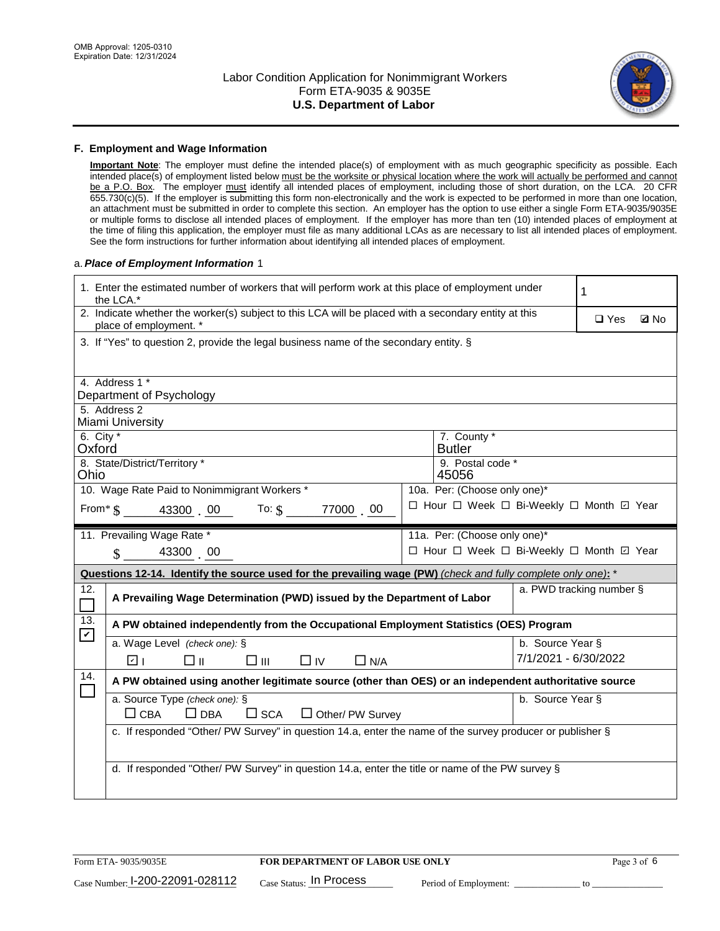

#### **F. Employment and Wage Information**

**Important Note**: The employer must define the intended place(s) of employment with as much geographic specificity as possible. Each intended place(s) of employment listed below must be the worksite or physical location where the work will actually be performed and cannot be a P.O. Box. The employer must identify all intended places of employment, including those of short duration, on the LCA. 20 CFR 655.730(c)(5). If the employer is submitting this form non-electronically and the work is expected to be performed in more than one location, an attachment must be submitted in order to complete this section. An employer has the option to use either a single Form ETA-9035/9035E or multiple forms to disclose all intended places of employment. If the employer has more than ten (10) intended places of employment at the time of filing this application, the employer must file as many additional LCAs as are necessary to list all intended places of employment. See the form instructions for further information about identifying all intended places of employment.

#### a.*Place of Employment Information* 1

| 1. Enter the estimated number of workers that will perform work at this place of employment under<br>1<br>the LCA.*             |                              |  |  |  |  |  |  |  |  |
|---------------------------------------------------------------------------------------------------------------------------------|------------------------------|--|--|--|--|--|--|--|--|
| 2. Indicate whether the worker(s) subject to this LCA will be placed with a secondary entity at this<br>place of employment. *  | $\square$ Yes<br><b>Z</b> No |  |  |  |  |  |  |  |  |
| 3. If "Yes" to question 2, provide the legal business name of the secondary entity. §                                           |                              |  |  |  |  |  |  |  |  |
|                                                                                                                                 |                              |  |  |  |  |  |  |  |  |
| 4. Address 1 *<br>Department of Psychology                                                                                      |                              |  |  |  |  |  |  |  |  |
| 5. Address 2                                                                                                                    |                              |  |  |  |  |  |  |  |  |
| Miami University                                                                                                                |                              |  |  |  |  |  |  |  |  |
| 6. City $*$<br>7. County *<br>Oxford<br><b>Butler</b>                                                                           |                              |  |  |  |  |  |  |  |  |
| 8. State/District/Territory *<br>9. Postal code *<br>Ohio<br>45056                                                              |                              |  |  |  |  |  |  |  |  |
| 10. Wage Rate Paid to Nonimmigrant Workers *<br>10a. Per: (Choose only one)*                                                    |                              |  |  |  |  |  |  |  |  |
| □ Hour □ Week □ Bi-Weekly □ Month ☑ Year<br>From $\frac{1}{2}$ $\frac{43300}{2}$ $\frac{00}{100}$ To: $\frac{1}{2}$<br>77000 00 |                              |  |  |  |  |  |  |  |  |
| 11. Prevailing Wage Rate *<br>11a. Per: (Choose only one)*                                                                      |                              |  |  |  |  |  |  |  |  |
| $\sin 43300$ 00<br>□ Hour □ Week □ Bi-Weekly □ Month ☑ Year                                                                     |                              |  |  |  |  |  |  |  |  |
| Questions 12-14. Identify the source used for the prevailing wage (PW) (check and fully complete only one): *                   |                              |  |  |  |  |  |  |  |  |
| 12.<br>A Prevailing Wage Determination (PWD) issued by the Department of Labor                                                  | a. PWD tracking number §     |  |  |  |  |  |  |  |  |
| 13.<br>A PW obtained independently from the Occupational Employment Statistics (OES) Program<br>$\blacktriangledown$            |                              |  |  |  |  |  |  |  |  |
| a. Wage Level (check one): §                                                                                                    | b. Source Year §             |  |  |  |  |  |  |  |  |
| ☑ ⊦<br>□⊪<br>$\square$ $\square$<br>$\Box$ IV<br>$\Box$ N/A                                                                     | 7/1/2021 - 6/30/2022         |  |  |  |  |  |  |  |  |
| 14.<br>A PW obtained using another legitimate source (other than OES) or an independent authoritative source<br>$\Box$          |                              |  |  |  |  |  |  |  |  |
| a. Source Type (check one): §                                                                                                   |                              |  |  |  |  |  |  |  |  |
|                                                                                                                                 | b. Source Year §             |  |  |  |  |  |  |  |  |
| $\square$ CBA<br>$\Box$ DBA<br>$\square$ SCA<br>$\Box$ Other/ PW Survey                                                         |                              |  |  |  |  |  |  |  |  |
| c. If responded "Other/ PW Survey" in question 14.a, enter the name of the survey producer or publisher §                       |                              |  |  |  |  |  |  |  |  |
|                                                                                                                                 |                              |  |  |  |  |  |  |  |  |
| d. If responded "Other/ PW Survey" in question 14.a, enter the title or name of the PW survey §                                 |                              |  |  |  |  |  |  |  |  |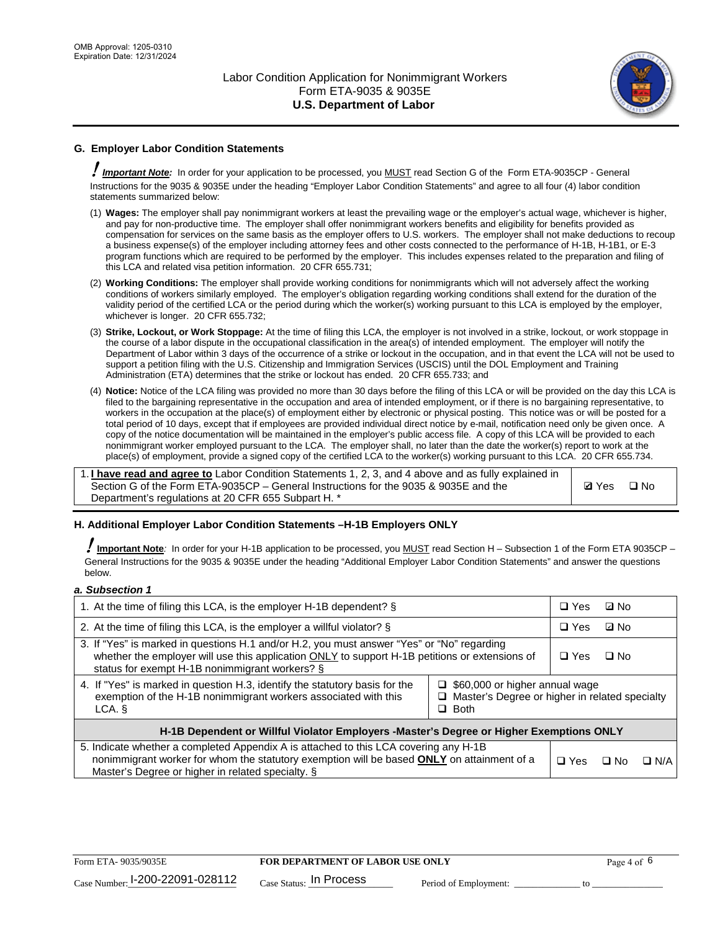

# **G. Employer Labor Condition Statements**

! *Important Note:* In order for your application to be processed, you MUST read Section G of the Form ETA-9035CP - General Instructions for the 9035 & 9035E under the heading "Employer Labor Condition Statements" and agree to all four (4) labor condition statements summarized below:

- (1) **Wages:** The employer shall pay nonimmigrant workers at least the prevailing wage or the employer's actual wage, whichever is higher, and pay for non-productive time. The employer shall offer nonimmigrant workers benefits and eligibility for benefits provided as compensation for services on the same basis as the employer offers to U.S. workers. The employer shall not make deductions to recoup a business expense(s) of the employer including attorney fees and other costs connected to the performance of H-1B, H-1B1, or E-3 program functions which are required to be performed by the employer. This includes expenses related to the preparation and filing of this LCA and related visa petition information. 20 CFR 655.731;
- (2) **Working Conditions:** The employer shall provide working conditions for nonimmigrants which will not adversely affect the working conditions of workers similarly employed. The employer's obligation regarding working conditions shall extend for the duration of the validity period of the certified LCA or the period during which the worker(s) working pursuant to this LCA is employed by the employer, whichever is longer. 20 CFR 655.732;
- (3) **Strike, Lockout, or Work Stoppage:** At the time of filing this LCA, the employer is not involved in a strike, lockout, or work stoppage in the course of a labor dispute in the occupational classification in the area(s) of intended employment. The employer will notify the Department of Labor within 3 days of the occurrence of a strike or lockout in the occupation, and in that event the LCA will not be used to support a petition filing with the U.S. Citizenship and Immigration Services (USCIS) until the DOL Employment and Training Administration (ETA) determines that the strike or lockout has ended. 20 CFR 655.733; and
- (4) **Notice:** Notice of the LCA filing was provided no more than 30 days before the filing of this LCA or will be provided on the day this LCA is filed to the bargaining representative in the occupation and area of intended employment, or if there is no bargaining representative, to workers in the occupation at the place(s) of employment either by electronic or physical posting. This notice was or will be posted for a total period of 10 days, except that if employees are provided individual direct notice by e-mail, notification need only be given once. A copy of the notice documentation will be maintained in the employer's public access file. A copy of this LCA will be provided to each nonimmigrant worker employed pursuant to the LCA. The employer shall, no later than the date the worker(s) report to work at the place(s) of employment, provide a signed copy of the certified LCA to the worker(s) working pursuant to this LCA. 20 CFR 655.734.

1. **I have read and agree to** Labor Condition Statements 1, 2, 3, and 4 above and as fully explained in Section G of the Form ETA-9035CP – General Instructions for the 9035 & 9035E and the Department's regulations at 20 CFR 655 Subpart H. \*

**Ø**Yes ロNo

### **H. Additional Employer Labor Condition Statements –H-1B Employers ONLY**

!**Important Note***:* In order for your H-1B application to be processed, you MUST read Section H – Subsection 1 of the Form ETA 9035CP – General Instructions for the 9035 & 9035E under the heading "Additional Employer Labor Condition Statements" and answer the questions below.

#### *a. Subsection 1*

| 1. At the time of filing this LCA, is the employer H-1B dependent? §                                                                                                                                                                           | $\Box$ Yes                                                                                                    | ⊡ No |            |  |  |
|------------------------------------------------------------------------------------------------------------------------------------------------------------------------------------------------------------------------------------------------|---------------------------------------------------------------------------------------------------------------|------|------------|--|--|
| 2. At the time of filing this LCA, is the employer a willful violator? $\S$                                                                                                                                                                    |                                                                                                               |      | ⊡ No       |  |  |
| 3. If "Yes" is marked in questions H.1 and/or H.2, you must answer "Yes" or "No" regarding<br>whether the employer will use this application ONLY to support H-1B petitions or extensions of<br>status for exempt H-1B nonimmigrant workers? § |                                                                                                               |      | $\Box$ No  |  |  |
| 4. If "Yes" is marked in question H.3, identify the statutory basis for the<br>exemption of the H-1B nonimmigrant workers associated with this<br>LCA.                                                                                         | $\Box$ \$60,000 or higher annual wage<br>$\Box$ Master's Degree or higher in related specialty<br>$\Box$ Both |      |            |  |  |
| H-1B Dependent or Willful Violator Employers -Master's Degree or Higher Exemptions ONLY                                                                                                                                                        |                                                                                                               |      |            |  |  |
| 5. Indicate whether a completed Appendix A is attached to this LCA covering any H-1B<br>nonimmigrant worker for whom the statutory exemption will be based <b>ONLY</b> on attainment of a<br>Master's Degree or higher in related specialty. § | $\Box$ Yes                                                                                                    | ⊡ No | $\Box$ N/A |  |  |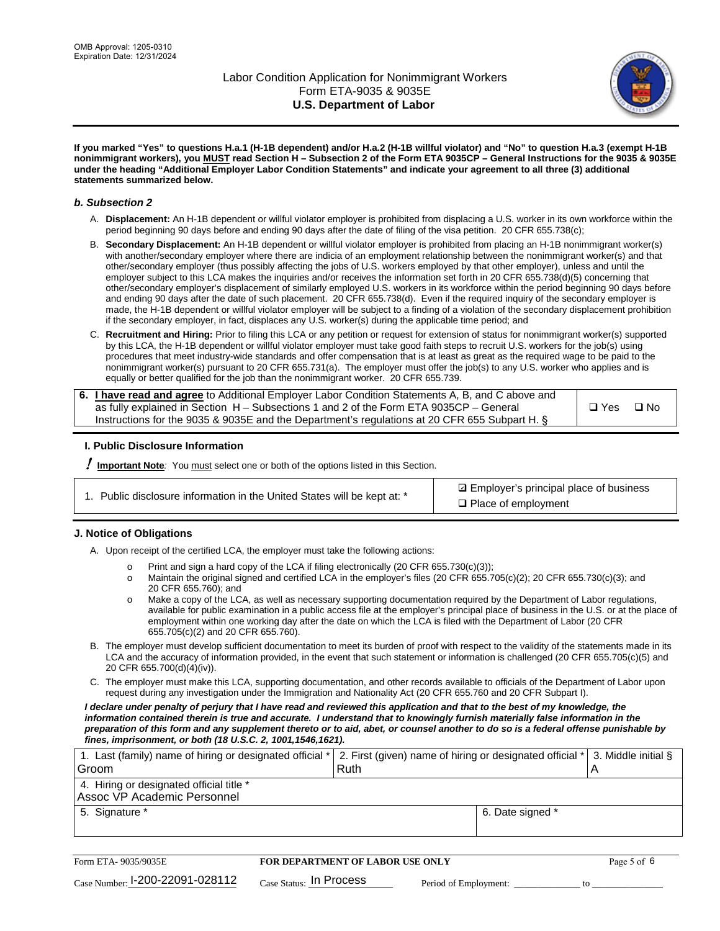

**If you marked "Yes" to questions H.a.1 (H-1B dependent) and/or H.a.2 (H-1B willful violator) and "No" to question H.a.3 (exempt H-1B nonimmigrant workers), you MUST read Section H – Subsection 2 of the Form ETA 9035CP – General Instructions for the 9035 & 9035E under the heading "Additional Employer Labor Condition Statements" and indicate your agreement to all three (3) additional statements summarized below.**

#### *b. Subsection 2*

- A. **Displacement:** An H-1B dependent or willful violator employer is prohibited from displacing a U.S. worker in its own workforce within the period beginning 90 days before and ending 90 days after the date of filing of the visa petition. 20 CFR 655.738(c);
- B. **Secondary Displacement:** An H-1B dependent or willful violator employer is prohibited from placing an H-1B nonimmigrant worker(s) with another/secondary employer where there are indicia of an employment relationship between the nonimmigrant worker(s) and that other/secondary employer (thus possibly affecting the jobs of U.S. workers employed by that other employer), unless and until the employer subject to this LCA makes the inquiries and/or receives the information set forth in 20 CFR 655.738(d)(5) concerning that other/secondary employer's displacement of similarly employed U.S. workers in its workforce within the period beginning 90 days before and ending 90 days after the date of such placement. 20 CFR 655.738(d). Even if the required inquiry of the secondary employer is made, the H-1B dependent or willful violator employer will be subject to a finding of a violation of the secondary displacement prohibition if the secondary employer, in fact, displaces any U.S. worker(s) during the applicable time period; and
- C. **Recruitment and Hiring:** Prior to filing this LCA or any petition or request for extension of status for nonimmigrant worker(s) supported by this LCA, the H-1B dependent or willful violator employer must take good faith steps to recruit U.S. workers for the job(s) using procedures that meet industry-wide standards and offer compensation that is at least as great as the required wage to be paid to the nonimmigrant worker(s) pursuant to 20 CFR 655.731(a). The employer must offer the job(s) to any U.S. worker who applies and is equally or better qualified for the job than the nonimmigrant worker. 20 CFR 655.739.

| 6. I have read and agree to Additional Employer Labor Condition Statements A, B, and C above and |       |           |
|--------------------------------------------------------------------------------------------------|-------|-----------|
| as fully explained in Section H – Subsections 1 and 2 of the Form ETA 9035CP – General           | □ Yes | $\Box$ No |
| Instructions for the 9035 & 9035 E and the Department's regulations at 20 CFR 655 Subpart H. §   |       |           |

### **I. Public Disclosure Information**

! **Important Note***:* You must select one or both of the options listed in this Section.

| 1. Public disclosure information in the United States will be kept at: * |  |  |  |  |  |  |  |
|--------------------------------------------------------------------------|--|--|--|--|--|--|--|
|--------------------------------------------------------------------------|--|--|--|--|--|--|--|

**sqrt** Employer's principal place of business □ Place of employment

### **J. Notice of Obligations**

A. Upon receipt of the certified LCA, the employer must take the following actions:

- o Print and sign a hard copy of the LCA if filing electronically (20 CFR 655.730(c)(3));<br>
Maintain the original signed and certified LCA in the employer's files (20 CFR 655.7
- Maintain the original signed and certified LCA in the employer's files (20 CFR 655.705(c)(2); 20 CFR 655.730(c)(3); and 20 CFR 655.760); and
- o Make a copy of the LCA, as well as necessary supporting documentation required by the Department of Labor regulations, available for public examination in a public access file at the employer's principal place of business in the U.S. or at the place of employment within one working day after the date on which the LCA is filed with the Department of Labor (20 CFR 655.705(c)(2) and 20 CFR 655.760).
- B. The employer must develop sufficient documentation to meet its burden of proof with respect to the validity of the statements made in its LCA and the accuracy of information provided, in the event that such statement or information is challenged (20 CFR 655.705(c)(5) and 20 CFR 655.700(d)(4)(iv)).
- C. The employer must make this LCA, supporting documentation, and other records available to officials of the Department of Labor upon request during any investigation under the Immigration and Nationality Act (20 CFR 655.760 and 20 CFR Subpart I).

*I declare under penalty of perjury that I have read and reviewed this application and that to the best of my knowledge, the*  information contained therein is true and accurate. I understand that to knowingly furnish materially false information in the *preparation of this form and any supplement thereto or to aid, abet, or counsel another to do so is a federal offense punishable by fines, imprisonment, or both (18 U.S.C. 2, 1001,1546,1621).*

| 1. Last (family) name of hiring or designated official * 2. First (given) name of hiring or designated official * 3. Middle initial § |  |
|---------------------------------------------------------------------------------------------------------------------------------------|--|
| Ruth                                                                                                                                  |  |
|                                                                                                                                       |  |
| 6. Date signed *                                                                                                                      |  |
|                                                                                                                                       |  |